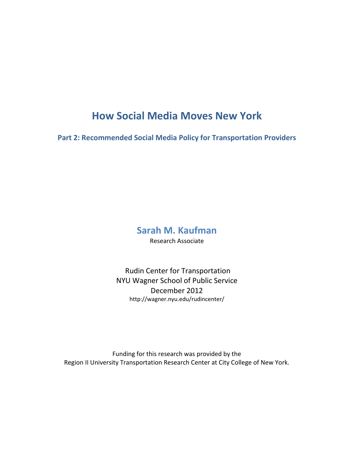# **How Social Media Moves New York**

**Part 2: Recommended Social Media Policy for Transportation Providers**

# **Sarah M. Kaufman**

Research Associate

Rudin Center for Transportation NYU Wagner School of Public Service December 2012 http://wagner.nyu.edu/rudincenter/

Funding for this research was provided by the Region II University Transportation Research Center at City College of New York.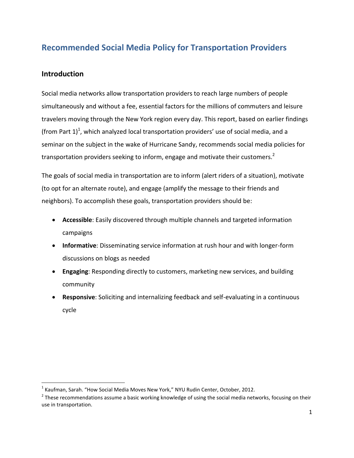# **Recommended Social Media Policy for Transportation Providers**

# **Introduction**

 $\overline{\phantom{a}}$ 

Social media networks allow transportation providers to reach large numbers of people simultaneously and without a fee, essential factors for the millions of commuters and leisure travelers moving through the New York region every day. This report, based on earlier findings (from Part 1)<sup>1</sup>, which analyzed local transportation providers' use of social media, and a seminar on the subject in the wake of Hurricane Sandy, recommends social media policies for transportation providers seeking to inform, engage and motivate their customers.<sup>2</sup>

The goals of social media in transportation are to inform (alert riders of a situation), motivate (to opt for an alternate route), and engage (amplify the message to their friends and neighbors). To accomplish these goals, transportation providers should be:

- **Accessible**: Easily discovered through multiple channels and targeted information campaigns
- **Informative**: Disseminating service information at rush hour and with longer-form discussions on blogs as needed
- **Engaging**: Responding directly to customers, marketing new services, and building community
- **Responsive**: Soliciting and internalizing feedback and self-evaluating in a continuous cycle

 $^1$  Kaufman, Sarah. "How Social Media Moves New York," NYU Rudin Center, October, 2012.

 $^2$  These recommendations assume a basic working knowledge of using the social media networks, focusing on their use in transportation.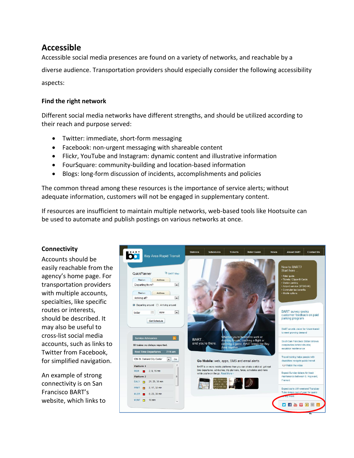# **Accessible**

Accessible social media presences are found on a variety of networks, and reachable by a diverse audience. Transportation providers should especially consider the following accessibility aspects:

#### **Find the right network**

Different social media networks have different strengths, and should be utilized according to their reach and purpose served:

- Twitter: immediate, short-form messaging
- Facebook: non-urgent messaging with shareable content
- Flickr, YouTube and Instagram: dynamic content and illustrative information
- FourSquare: community-building and location-based information
- Blogs: long-form discussion of incidents, accomplishments and policies

The common thread among these resources is the importance of service alerts; without adequate information, customers will not be engaged in supplementary content.

If resources are insufficient to maintain multiple networks, web-based tools like Hootsuite can be used to automate and publish postings on various networks at once.

#### **Connectivity**

Accounts should be easily reachable from the agency's home page. For transportation providers with multiple accounts, specialties, like specific routes or interests, should be described. It may also be useful to cross-list social media accounts, such as links to Twitter from Facebook, for simplified navigation.

An example of strong connectivity is on San Francisco BART's website, which links to

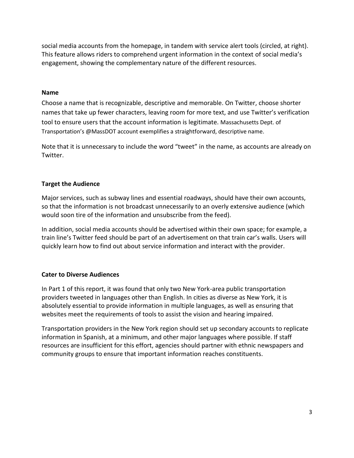social media accounts from the homepage, in tandem with service alert tools (circled, at right). This feature allows riders to comprehend urgent information in the context of social media's engagement, showing the complementary nature of the different resources.

#### **Name**

Choose a name that is recognizable, descriptive and memorable. On Twitter, choose shorter names that take up fewer characters, leaving room for more text, and use Twitter's verification tool to ensure users that the account information is legitimate. Massachusetts Dept. of Transportation's @MassDOT account exemplifies a straightforward, descriptive name.

Note that it is unnecessary to include the word "tweet" in the name, as accounts are already on Twitter.

#### **Target the Audience**

Major services, such as subway lines and essential roadways, should have their own accounts, so that the information is not broadcast unnecessarily to an overly extensive audience (which would soon tire of the information and unsubscribe from the feed).

In addition, social media accounts should be advertised within their own space; for example, a train line's Twitter feed should be part of an advertisement on that train car's walls. Users will quickly learn how to find out about service information and interact with the provider.

#### **Cater to Diverse Audiences**

In Part 1 of this report, it was found that only two New York-area public transportation providers tweeted in languages other than English. In cities as diverse as New York, it is absolutely essential to provide information in multiple languages, as well as ensuring that websites meet the requirements of tools to assist the vision and hearing impaired.

Transportation providers in the New York region should set up secondary accounts to replicate information in Spanish, at a minimum, and other major languages where possible. If staff resources are insufficient for this effort, agencies should partner with ethnic newspapers and community groups to ensure that important information reaches constituents.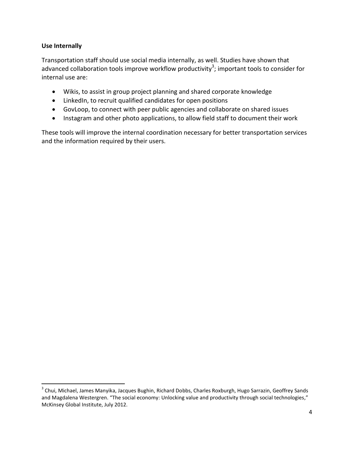#### **Use Internally**

 $\overline{\phantom{a}}$ 

Transportation staff should use social media internally, as well. Studies have shown that advanced collaboration tools improve workflow productivity<sup>3</sup>; important tools to consider for internal use are:

- Wikis, to assist in group project planning and shared corporate knowledge
- LinkedIn, to recruit qualified candidates for open positions
- GovLoop, to connect with peer public agencies and collaborate on shared issues
- Instagram and other photo applications, to allow field staff to document their work

These tools will improve the internal coordination necessary for better transportation services and the information required by their users.

<sup>&</sup>lt;sup>3</sup> Chui, Michael, James Manyika, Jacques Bughin, Richard Dobbs, Charles Roxburgh, Hugo Sarrazin, Geoffrey Sands and Magdalena Westergren. "The social economy: Unlocking value and productivity through social technologies," McKinsey Global Institute, July 2012.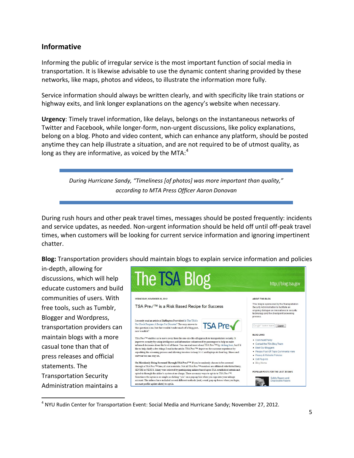# **Informative**

Informing the public of irregular service is the most important function of social media in transportation. It is likewise advisable to use the dynamic content sharing provided by these networks, like maps, photos and videos, to illustrate the information more fully.

Service information should always be written clearly, and with specificity like train stations or highway exits, and link longer explanations on the agency's website when necessary.

**Urgency**: Timely travel information, like delays, belongs on the instantaneous networks of Twitter and Facebook, while longer-form, non-urgent discussions, like policy explanations, belong on a blog. Photo and video content, which can enhance any platform, should be posted anytime they can help illustrate a situation, and are not required to be of utmost quality, as long as they are informative, as voiced by the MTA: $4$ 

> *During Hurricane Sandy, "Timeliness [of photos] was more important than quality," according to MTA Press Officer Aaron Donovan*

During rush hours and other peak travel times, messages should be posted frequently: incidents and service updates, as needed. Non-urgent information should be held off until off-peak travel times, when customers will be looking for current service information and ignoring impertinent chatter.

**Blog:** Transportation providers should maintain blogs to explain service information and policies

in-depth, allowing for discussions, which will help educate customers and build communities of users. With free tools, such as Tumblr, Blogger and Wordpress, transportation providers can maintain blogs with a more casual tone than that of press releases and official statements. The Transportation Security Administration maintains a

 $\overline{\phantom{a}}$ 

![](_page_5_Picture_8.jpeg)

<sup>&</sup>lt;sup>4</sup> NYU Rudin Center for Transportation Event: Social Media and Hurricane Sandy; November 27, 2012.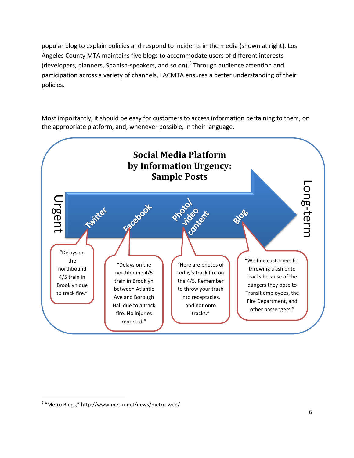popular blog to explain policies and respond to incidents in the media (shown at right). Los Angeles County MTA maintains five blogs to accommodate users of different interests (developers, planners, Spanish-speakers, and so on).<sup>5</sup> Through audience attention and participation across a variety of channels, LACMTA ensures a better understanding of their policies.

Most importantly, it should be easy for customers to access information pertaining to them, on the appropriate platform, and, whenever possible, in their language.

![](_page_6_Figure_2.jpeg)

 $\overline{\phantom{a}}$ 

<sup>&</sup>lt;sup>5</sup> "Metro Blogs," http://www.metro.net/news/metro-web/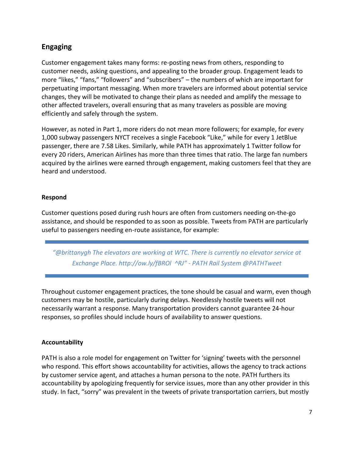# **Engaging**

Customer engagement takes many forms: re-posting news from others, responding to customer needs, asking questions, and appealing to the broader group. Engagement leads to more "likes," "fans," "followers" and "subscribers" – the numbers of which are important for perpetuating important messaging. When more travelers are informed about potential service changes, they will be motivated to change their plans as needed and amplify the message to other affected travelers, overall ensuring that as many travelers as possible are moving efficiently and safely through the system.

However, as noted in Part 1, more riders do not mean more followers; for example, for every 1,000 subway passengers NYCT receives a single Facebook "Like," while for every 1 JetBlue passenger, there are 7.58 Likes. Similarly, while PATH has approximately 1 Twitter follow for every 20 riders, American Airlines has more than three times that ratio. The large fan numbers acquired by the airlines were earned through engagement, making customers feel that they are heard and understood.

#### **Respond**

Customer questions posed during rush hours are often from customers needing on-the-go assistance, and should be responded to as soon as possible. Tweets from PATH are particularly useful to passengers needing en-route assistance, for example:

*"@brittanygh The elevators are working at WTC. There is currently no elevator service at Exchange Place. http://ow.ly/fBROl ^RJ" - TH ail System @PATHTweet*

Throughout customer engagement practices, the tone should be casual and warm, even though customers may be hostile, particularly during delays. Needlessly hostile tweets will not necessarily warrant a response. Many transportation providers cannot guarantee 24-hour responses, so profiles should include hours of availability to answer questions.

#### **Accountability**

PATH is also a role model for engagement on Twitter for 'signing' tweets with the personnel who respond. This effort shows accountability for activities, allows the agency to track actions by customer service agent, and attaches a human persona to the note. PATH furthers its accountability by apologizing frequently for service issues, more than any other provider in this study. In fact, "sorry" was prevalent in the tweets of private transportation carriers, but mostly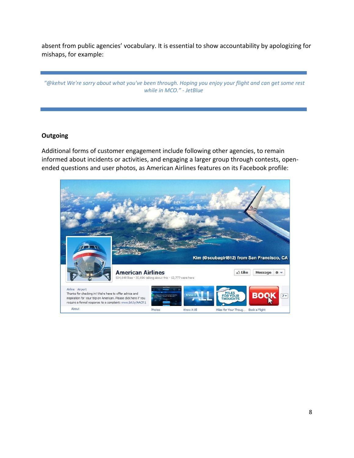absent from public agencies' vocabulary. It is essential to show accountability by apologizing for mishaps, for example:

"@kehvt We're sorry about what you've been through. Hoping you enjoy your flight and can get some rest *while in MCO." - JetBlue*

#### **Outgoing**

Additional forms of customer engagement include following other agencies, to remain informed about incidents or activities, and engaging a larger group through contests, openended questions and user photos, as American Airlines features on its Facebook profile:

![](_page_8_Picture_4.jpeg)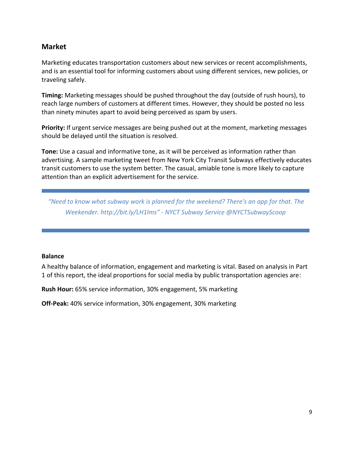# **Market**

Marketing educates transportation customers about new services or recent accomplishments, and is an essential tool for informing customers about using different services, new policies, or traveling safely.

**Timing:** Marketing messages should be pushed throughout the day (outside of rush hours), to reach large numbers of customers at different times. However, they should be posted no less than ninety minutes apart to avoid being perceived as spam by users.

**Priority:** If urgent service messages are being pushed out at the moment, marketing messages should be delayed until the situation is resolved.

**Tone:** Use a casual and informative tone, as it will be perceived as information rather than advertising. A sample marketing tweet from New York City Transit Subways effectively educates transit customers to use the system better. The casual, amiable tone is more likely to capture attention than an explicit advertisement for the service.

*"Need to know what subway work is planned for the weekend? There's an app for that. The Weekender. http://bit.ly/LH1lms" - NYCT Subway Service @NYCTSubwayScoop* 

#### **Balance**

A healthy balance of information, engagement and marketing is vital. Based on analysis in Part 1 of this report, the ideal proportions for social media by public transportation agencies are:

**Rush Hour:** 65% service information, 30% engagement, 5% marketing

**Off-Peak:** 40% service information, 30% engagement, 30% marketing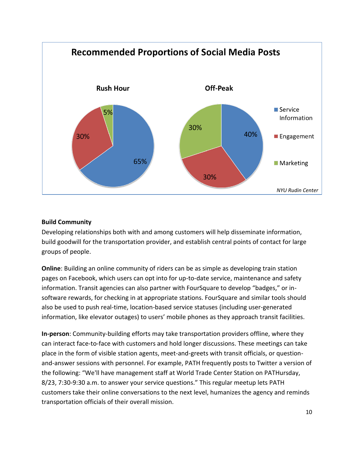![](_page_10_Figure_0.jpeg)

#### **Build Community**

Developing relationships both with and among customers will help disseminate information, build goodwill for the transportation provider, and establish central points of contact for large groups of people.

**Online**: Building an online community of riders can be as simple as developing train station pages on Facebook, which users can opt into for up-to-date service, maintenance and safety information. Transit agencies can also partner with FourSquare to develop "badges," or insoftware rewards, for checking in at appropriate stations. FourSquare and similar tools should also be used to push real-time, location-based service statuses (including user-generated information, like elevator outages) to users' mobile phones as they approach transit facilities.

**In-person**: Community-building efforts may take transportation providers offline, where they can interact face-to-face with customers and hold longer discussions. These meetings can take place in the form of visible station agents, meet-and-greets with transit officials, or questionand-answer sessions with personnel. For example, PATH frequently posts to Twitter a version of the following: "We'll have management staff at World Trade Center Station on PATHursday, 8/23, 7:30-9:30 a.m. to answer your service questions." This regular meetup lets PATH customers take their online conversations to the next level, humanizes the agency and reminds transportation officials of their overall mission.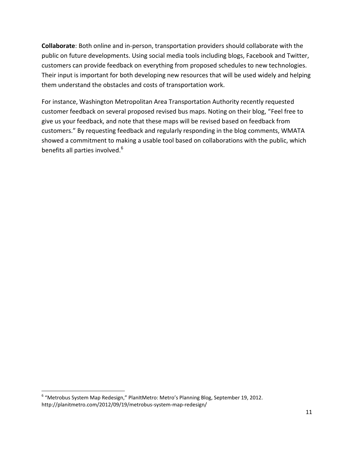**Collaborate**: Both online and in-person, transportation providers should collaborate with the public on future developments. Using social media tools including blogs, Facebook and Twitter, customers can provide feedback on everything from proposed schedules to new technologies. Their input is important for both developing new resources that will be used widely and helping them understand the obstacles and costs of transportation work.

For instance, Washington Metropolitan Area Transportation Authority recently requested customer feedback on several proposed revised bus maps. Noting on their blog, "Feel free to give us your feedback, and note that these maps will be revised based on feedback from customers." By requesting feedback and regularly responding in the blog comments, WMATA showed a commitment to making a usable tool based on collaborations with the public, which benefits all parties involved.<sup>6</sup>

l

<sup>&</sup>lt;sup>6</sup> "Metrobus System Map Redesign," PlanItMetro: Metro's Planning Blog, September 19, 2012. http://planitmetro.com/2012/09/19/metrobus-system-map-redesign/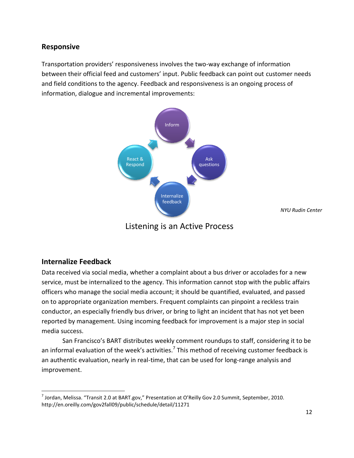### **Responsive**

Transportation providers' responsiveness involves the two-way exchange of information between their official feed and customers' input. Public feedback can point out customer needs and field conditions to the agency. Feedback and responsiveness is an ongoing process of information, dialogue and incremental improvements:

![](_page_12_Figure_2.jpeg)

*NYU Rudin Center*

Listening is an Active Process

### **Internalize Feedback**

l

Data received via social media, whether a complaint about a bus driver or accolades for a new service, must be internalized to the agency. This information cannot stop with the public affairs officers who manage the social media account; it should be quantified, evaluated, and passed on to appropriate organization members. Frequent complaints can pinpoint a reckless train conductor, an especially friendly bus driver, or bring to light an incident that has not yet been reported by management. Using incoming feedback for improvement is a major step in social media success.

San Francisco's BART distributes weekly comment roundups to staff, considering it to be an informal evaluation of the week's activities.<sup>7</sup> This method of receiving customer feedback is an authentic evaluation, nearly in real-time, that can be used for long-range analysis and improvement.

 $^7$  Jordan, Melissa. "Transit 2.0 at BART.gov," Presentation at O'Reilly Gov 2.0 Summit, September, 2010. http://en.oreilly.com/gov2fall09/public/schedule/detail/11271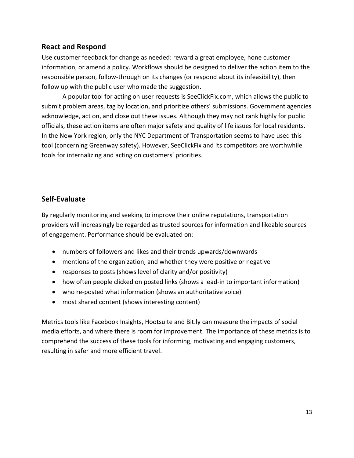# **React and Respond**

Use customer feedback for change as needed: reward a great employee, hone customer information, or amend a policy. Workflows should be designed to deliver the action item to the responsible person, follow-through on its changes (or respond about its infeasibility), then follow up with the public user who made the suggestion.

A popular tool for acting on user requests is SeeClickFix.com, which allows the public to submit problem areas, tag by location, and prioritize others' submissions. Government agencies acknowledge, act on, and close out these issues. Although they may not rank highly for public officials, these action items are often major safety and quality of life issues for local residents. In the New York region, only the NYC Department of Transportation seems to have used this tool (concerning Greenway safety). However, SeeClickFix and its competitors are worthwhile tools for internalizing and acting on customers' priorities.

# **Self-Evaluate**

By regularly monitoring and seeking to improve their online reputations, transportation providers will increasingly be regarded as trusted sources for information and likeable sources of engagement. Performance should be evaluated on:

- numbers of followers and likes and their trends upwards/downwards
- mentions of the organization, and whether they were positive or negative
- responses to posts (shows level of clarity and/or positivity)
- how often people clicked on posted links (shows a lead-in to important information)
- who re-posted what information (shows an authoritative voice)
- most shared content (shows interesting content)

Metrics tools like Facebook Insights, Hootsuite and Bit.ly can measure the impacts of social media efforts, and where there is room for improvement. The importance of these metrics is to comprehend the success of these tools for informing, motivating and engaging customers, resulting in safer and more efficient travel.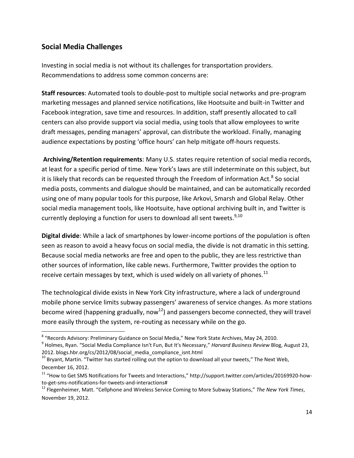# **Social Media Challenges**

 $\overline{\phantom{a}}$ 

Investing in social media is not without its challenges for transportation providers. Recommendations to address some common concerns are:

**Staff resources**: Automated tools to double-post to multiple social networks and pre-program marketing messages and planned service notifications, like Hootsuite and built-in Twitter and Facebook integration, save time and resources. In addition, staff presently allocated to call centers can also provide support via social media, using tools that allow employees to write draft messages, pending managers' approval, can distribute the workload. Finally, managing audience expectations by posting 'office hours' can help mitigate off-hours requests.

**Archiving/Retention requirements**: Many U.S. states require retention of social media records, at least for a specific period of time. New York's laws are still indeterminate on this subject, but it is likely that records can be requested through the Freedom of information Act.<sup>8</sup> So social media posts, comments and dialogue should be maintained, and can be automatically recorded using one of many popular tools for this purpose, like Arkovi, Smarsh and Global Relay. Other social media management tools, like Hootsuite, have optional archiving built in, and Twitter is currently deploying a function for users to download all sent tweets.<sup>9,10</sup>

**Digital divide**: While a lack of smartphones by lower-income portions of the population is often seen as reason to avoid a heavy focus on social media, the divide is not dramatic in this setting. Because social media networks are free and open to the public, they are less restrictive than other sources of information, like cable news. Furthermore, Twitter provides the option to receive certain messages by text, which is used widely on all variety of phones.<sup>11</sup>

The technological divide exists in New York City infrastructure, where a lack of underground mobile phone service limits subway passengers' awareness of service changes. As more stations become wired (happening gradually, now<sup>12</sup>) and passengers become connected, they will travel more easily through the system, re-routing as necessary while on the go.

<sup>&</sup>lt;sup>8</sup> "Records Advisory: Preliminary Guidance on Social Media," New York State Archives, May 24, 2010.

<sup>9</sup> Holmes, Ryan. "Social Media Compliance Isn't Fun, But It's Necessary," *Harvard Business Review* Blog, August 23, 2012. blogs.hbr.org/cs/2012/08/social\_media\_compliance\_isnt.html

 $10$  Bryant, Martin. "Twitter has started rolling out the option to download all your tweets," The Next Web, December 16, 2012.

 $11$  "How to Get SMS Notifications for Tweets and Interactions," http://support.twitter.com/articles/20169920-howto-get-sms-notifications-for-tweets-and-interactions#

<sup>12</sup> Flegenheimer, Matt. "Cellphone and Wireless Service Coming to More Subway Stations," *The New York Times*, November 19, 2012.